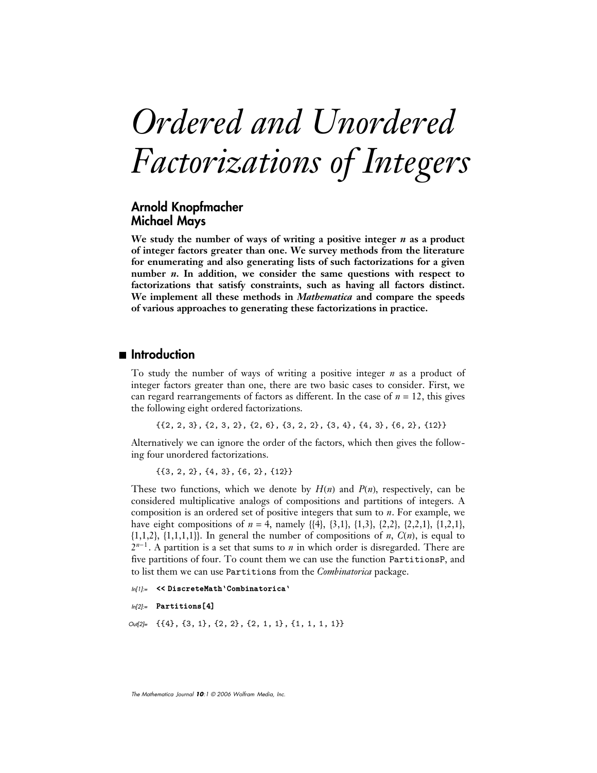# *Ordered and Unordered Factorizations of Integers*

## **Arnold Knopfmacher Michael Mays**

**We study the number of ways of writing a positive integer** *n* **as a product of integer factors greater than one. We survey methods from the literature for enumerating and also generating lists of such factorizations for a given number** *n***. In addition, we consider the same questions with respect to factorizations that satisfy constraints, such as having all factors distinct. We implement all these methods in** *Mathematica* **and compare the speeds of various approaches to generating these factorizations in practice.**

## ■ **Introduction**

To study the number of ways of writing a positive integer *n* as a product of integer factors greater than one, there are two basic cases to consider. First, we can regard rearrangements of factors as different. In the case of  $n = 12$ , this gives the following eight ordered factorizations.

 $\{\{2, 2, 3\}, \{2, 3, 2\}, \{2, 6\}, \{3, 2, 2\}, \{3, 4\}, \{4, 3\}, \{6, 2\}, \{12\}\}\$ 

Alternatively we can ignore the order of the factors, which then gives the following four unordered factorizations.

```
\{\{3, 2, 2\}, \{4, 3\}, \{6, 2\}, \{12\}\}\
```
These two functions, which we denote by  $H(n)$  and  $P(n)$ , respectively, can be considered multiplicative analogs of compositions and partitions of integers. A composition is an ordered set of positive integers that sum to *n*. For example, we have eight compositions of  $n = 4$ , namely  $\{\{4\}, \{3,1\}, \{1,3\}, \{2,2\}, \{2,2,1\}, \{1,2,1\},\$  $\{1,1,2\}, \{1,1,1,1\}\}\$ . In general the number of compositions of *n*,  $C(n)$ , is equal to  $2^{n-1}$ . A partition is a set that sums to *n* in which order is disregarded. There are five partitions of four. To count them we can use the function PartitionsP, and to list them we can use Partitions from the *Combinatorica* package.

```
ln[1]: << DiscreteMath'Combinatorica'
```

```
In<sup>[2]</sup>:= Partitions<sup>[4]</sup>
```
 $Out[2] = \{ \{4\}, \{3, 1\}, \{2, 2\}, \{2, 1, 1\}, \{1, 1, 1, 1\} \}$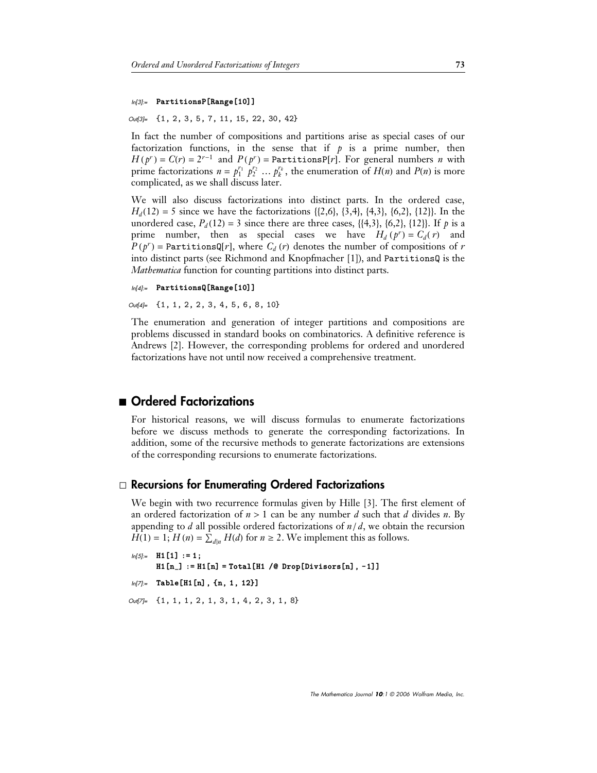# $ln[3]$ := **PartitionsP[Range[10]]**

Out[3]= {1, 2, 3, 5, 7, 11, 15, 22, 30, 42}

In fact the number of compositions and partitions arise as special cases of our factorization functions, in the sense that if  $p$  is a prime number, then  $H(p^r) = C(r) = 2^{r-1}$  and  $P(p^r) =$  PartitionsP[r]. For general numbers *n* with prime factorizations  $n = p_1^{r_1} p_2^{r_2} \dots p_k^{r_k}$ , the enumeration of  $H(n)$  and  $P(n)$  is more complicated, as we shall discuss later.

We will also discuss factorizations into distinct parts. In the ordered case,  $H_d(12) = 5$  since we have the factorizations {{2,6}, {3,4}, {4,3}, {6,2}, {12}}. In the unordered case,  $P_d(12) = 3$  since there are three cases, {{4,3}, {6,2}, {12}}. If *p* is a prime number, then as special cases we have  $H_d(p^r) = C_d(r)$  and  $P(p^r)$  = PartitionsQ[r], where  $C_d(r)$  denotes the number of compositions of *r* into distinct parts (see Richmond and Knopfmacher [1]), and PartitionsQ is the *Mathematica* function for counting partitions into distinct parts.

```
ln[4]:= PartitionsQ[Range[10]]
```
Out[4]= {1, 1, 2, 2, 3, 4, 5, 6, 8, 10}

The enumeration and generation of integer partitions and compositions are problems discussed in standard books on combinatorics. A definitive reference is Andrews [2]. However, the corresponding problems for ordered and unordered factorizations have not until now received a comprehensive treatment.

## ■ Ordered Factorizations

For historical reasons, we will discuss formulas to enumerate factorizations before we discuss methods to generate the corresponding factorizations. In addition, some of the recursive methods to generate factorizations are extensions of the corresponding recursions to enumerate factorizations.

#### · **Recursions for Enumerating Ordered Factorizations**

We begin with two recurrence formulas given by Hille [3]. The first element of an ordered factorization of  $n > 1$  can be any number *d* such that *d* divides *n*. By appending to  $d$  all possible ordered factorizations of  $n/d$ , we obtain the recursion  $H(1) = 1$ ;  $H(n) = \sum_{d|n} H(d)$  for  $n \ge 2$ . We implement this as follows.

```
ln[5] := H1 [1] :=
      H1 [n_] := H1 [n] = Total [H1 /@ Drop [Divisors [n], -1]]
ln[7] = Table[H1[n], {n, 1, 12}]
```
Out[7]= {1, 1, 1, 2, 1, 3, 1, 4, 2, 3, 1, 8}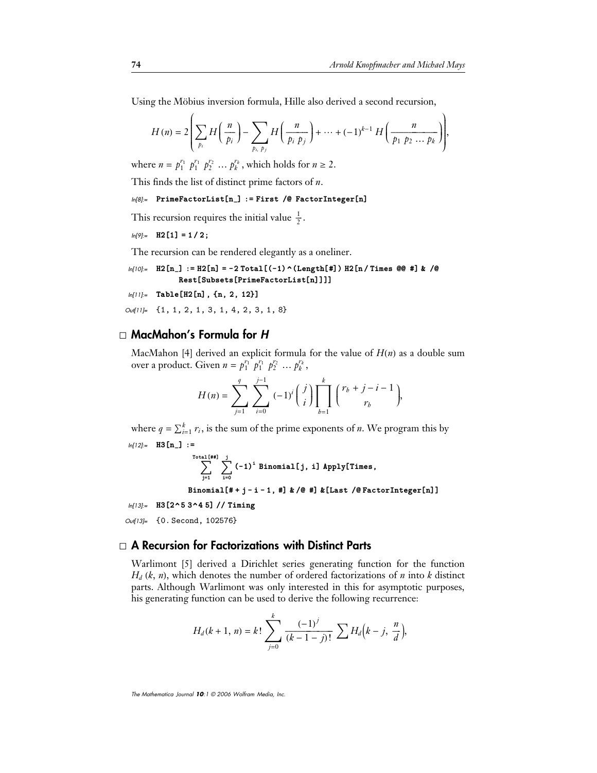Using the Möbius inversion formula, Hille also derived a second recursion,

$$
H(n) = 2\left(\sum_{p_i} H\left(\frac{n}{p_i}\right) - \sum_{p_i, p_j} H\left(\frac{n}{p_i p_j}\right) + \dots + (-1)^{k-1} H\left(\frac{n}{p_1 p_2 \dots p_k}\right)\right),
$$

where  $n = p_1^{r_1} p_1^{r_1} p_2^{r_2} \dots p_k^{r_k}$ , which holds for  $n \ge 2$ .

This finds the list of distinct prime factors of *n*.

# $ln[8]$ := PrimeFactorList[n\_] := First /@ FactorInteger[n]

This recursion requires the initial value  $\frac{1}{2}$ .

```
ln[9]:= H2[1] = 1/2;
```
The recursion can be rendered elegantly as a oneliner.

```
In[10]:= H2[n<sub>1</sub>] := H2[n] = -2 Total[(-1) ^ (Length[#]) H2[n/Times @@ #] & /@<br>Rest [Subsets[PrimeEactor[ist[n]]]]
                   Rest[Subsets[PrimeFactorList[n]]]]<br>-<br>-<br><b>-
```
*ln[11]*:= Table[H2[n], {n, 2, 12}]

 $Out[11] = \{1, 1, 2, 1, 3, 1, 4, 2, 3, 1, 8\}$ 

#### · **MacMahon's Formula for** *H*

MacMahon [4] derived an explicit formula for the value of  $H(n)$  as a double sum over a product. Given  $n = p_1^{r_1} p_1^{r_1} p_2^{r_2} \dots p_k^{r_k}$ ,

$$
H(n) = \sum_{j=1}^{q} \sum_{i=0}^{j-1} (-1)^{i} {j \choose i} \prod_{b=1}^{k} {r_{b} + j - i - 1 \choose r_{b}},
$$

where  $q = \sum_{i=1}^{k} r_i$ , is the sum of the prime exponents of *n*. We program this by  $ln[12]=$  **H3 [n\_]** :=

$$
\sum_{j=1}^{\text{Total [#3]}} \sum_{i=0}^{j} (-1)^i \text{ Binomial}[j, i] \text{ Apply}[Times,
$$

Binomial# j i 1, #**-** & #**-** &Last FactorIntegern**--**

In[13]:= **H3[2^5 3^4 5] // Timing** 

Out[13]= {0. Second, 102576}

#### · **A Recursion for Factorizations with Distinct Parts**

Warlimont [5] derived a Dirichlet series generating function for the function  $H_d$  (k, *n*), which denotes the number of ordered factorizations of *n* into *k* distinct parts. Although Warlimont was only interested in this for asymptotic purposes, his generating function can be used to derive the following recurrence:

$$
H_d(k+1, n) = k! \sum_{j=0}^{k} \frac{(-1)^j}{(k-1-j)!} \sum H_d(k-j, \frac{n}{d}),
$$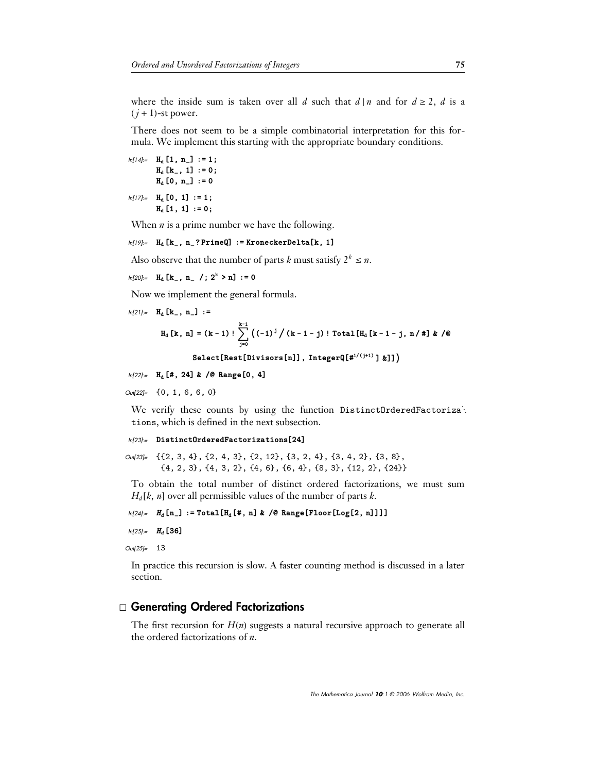where the inside sum is taken over all *d* such that  $d | n$  and for  $d \ge 2$ , *d* is a  $(j + 1)$ -st power.

There does not seem to be a simple combinatorial interpretation for this formula. We implement this starting with the appropriate boundary conditions.

$$
ln[14] = H_{d} [1, n_{-}] := 1 ;
$$
  
\n
$$
H_{d} [k_{-}, 1] := 0 ;
$$
  
\n
$$
H_{d} [0, n_{-}] := 0
$$
  
\n
$$
ln[17] := H_{d} [0, 1] := 1 ;
$$
  
\n
$$
H_{d} [1, 1] := 0 ;
$$

When *n* is a prime number we have the following.

 $ln[19] =$  H<sub>d</sub> [k<sub>-</sub>, n<sub>-</sub>? PrimeQ] := KroneckerDelta[k, 1]

Also observe that the number of parts *k* must satisfy  $2^k \leq n$ .

$$
\ln[20] := \mathbf{H}_{\mathbf{d}} \left[ \mathbf{k}_{-}, \; \mathbf{n}_{-} \; / \; ; \; 2^{k} > \mathbf{n} \right] \; := \; 0
$$

Now we implement the general formula.

 $ln[21] :=$ **H**<sub>d</sub>  $[\mathbf{k}_-, \mathbf{n}_+] :=$ 

$$
H_{d}[k, n] = (k-1)! \sum_{j=0}^{k-1} ((-1)^{j} / (k-1-j)! \text{Total}[H_{d}[k-1-j, n/ #] & / \mathcal{Q}
$$

```
\texttt{Select}[\texttt{Rest}[\texttt{Divisors}[n]], \texttt{IntegerQ}[\texttt{\#}^{1/(j+1)} \;]\; \texttt{\#}]]\big)
```

```
ln[22] = H<sub>d</sub> [#, 24] & /@ Range[0, 4]
```
 $Out[22] = \{0, 1, 6, 6, 0\}$ 

We verify these counts by using the function DistinctOrderedFactorizat. tions, which is defined in the next subsection.

```
ln[23]:= Distinct0rderedFactorizations[24]
```

```
Out[23]= {{2, 3, 4}, {2, 4, 3}, {2, 12}, {3, 2, 4}, {3, 4, 2}, {3, 8},
         \{4, 2, 3\}, \{4, 3, 2\}, \{4, 6\}, \{6, 4\}, \{8, 3\}, \{12, 2\}, \{24\}\}\
```
To obtain the total number of distinct ordered factorizations, we must sum  $H_d[k, n]$  over all permissible values of the number of parts *k*.

```
ln[24]:= H_d [n_] := Total [H<sub>d</sub> [#, n] & /@ Range [Floor [Log[2, n]]]]
```
In[25]:= **H<sub>d</sub>** [36]

Out[25]= 13

In practice this recursion is slow. A faster counting method is discussed in a later section.

#### · **Generating Ordered Factorizations**

The first recursion for  $H(n)$  suggests a natural recursive approach to generate all the ordered factorizations of *n*.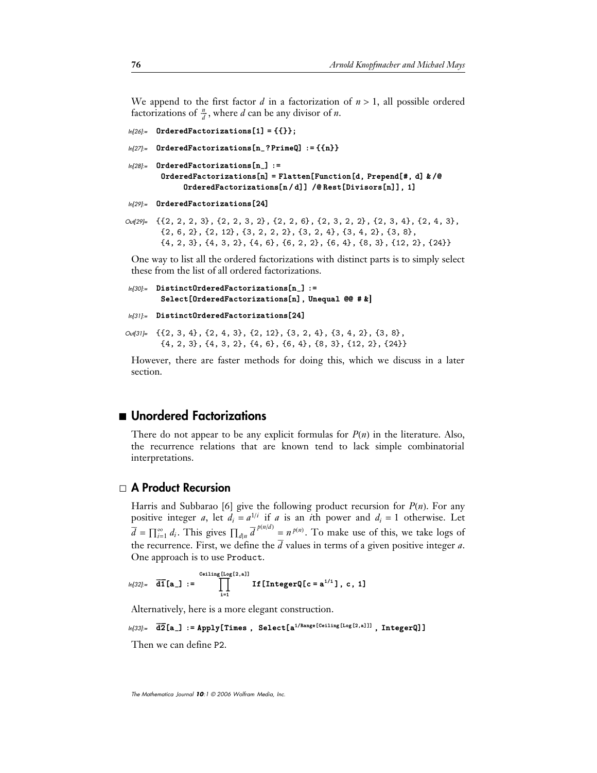We append to the first factor  $d$  in a factorization of  $n > 1$ , all possible ordered factorizations of  $\frac{n}{d}$ , where *d* can be any divisor of *n*.

```
ln[26]:= OrderedFactorizations[1] = {{}};
```

```
ln[27]:= OrderedFactorizations[n_?PrimeQ] := {\{n\}}
```

```
ln[28]:= OrderedFactorizations[n_ :=
          0rderedFactorizations[n] = Flatten[Function[d, Prepend[#, d] k /@
                  {\bf OrderedFactorizations[n/d]} \hspace{2mm} / \hspace{2mm} @ {\bf Rest[Divisors[n]]} \hspace{2mm} , \hspace{2mm} 1]
```

```
In[29]:= OrderedFactorizations<sup>[24]</sup>
```
Out[29]= {{2, 2, 2, 3}, {2, 2, 3, 2}, {2, 2, 6}, {2, 3, 2, 2}, {2, 3, 4}, {2, 4, 3},  $\{2, 6, 2\}, \{2, 12\}, \{3, 2, 2, 2\}, \{3, 2, 4\}, \{3, 4, 2\}, \{3, 8\},$  $\{4, 2, 3\}, \{4, 3, 2\}, \{4, 6\}, \{6, 2, 2\}, \{6, 4\}, \{8, 3\}, \{12, 2\}, \{24\}$ 

One way to list all the ordered factorizations with distinct parts is to simply select these from the list of all ordered factorizations.

```
ln[30]:= DistinctOrderedFactorizations[n_] :=
         \texttt{Select[OrderedFactorizations[n]}, Unequal @@ # \bm{\&} \bm{\]}
```

```
In[31]:= Distinct0rderedFactorizations<sup>[24]</sup>
```
Out[31]= {{2, 3, 4}, {2, 4, 3}, {2, 12}, {3, 2, 4}, {3, 4, 2}, {3, 8},  $\{4, 2, 3\}, \{4, 3, 2\}, \{4, 6\}, \{6, 4\}, \{8, 3\}, \{12, 2\}, \{24\}\}\$ 

However, there are faster methods for doing this, which we discuss in a later section.

## ■ Unordered Factorizations

There do not appear to be any explicit formulas for  $P(n)$  in the literature. Also, the recurrence relations that are known tend to lack simple combinatorial interpretations.

## · **A Product Recursion**

Harris and Subbarao [6] give the following product recursion for  $P(n)$ . For any positive integer *a*, let  $d_i = a^{1/i}$  if *a* is an *i*th power and  $d_i = 1$  otherwise. Let  $\overline{d} = \prod_{i=1}^{\infty} d_i$ . This gives  $\prod_{d|n} \overline{d}^{p(n/d)} = n^{p(n)}$ . To make use of this, we take logs of the recurrence. First, we define the *d* values in terms of a given positive integer *a*. One approach is to use Product.

$$
\text{In}[32] := \overline{\text{d}1}[\texttt{a}_-] := \prod_{i=1}^{\text{Ceiling}[L \circ \texttt{a}] 1} \text{If}[ \text{IntegerQ}[c = \texttt{a}^{1/i}], c, 1]
$$

Alternatively, here is a more elegant construction.

 $ln[33]$ :=  $\overline{\textbf{d2}}[\textbf{a}_-]$ := Apply[Times, Select[a<sup>1/Range [Ceiling [Log[2,a]]], IntegerQ]]</sup>

Then we can define P2.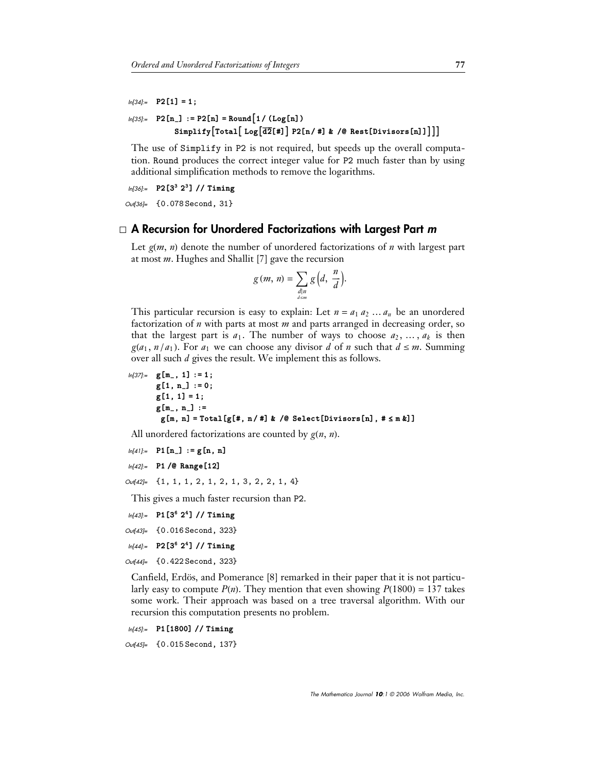```
ln[34] = P2[1] = 1;
```

```
ln[35] = P2[n_] := P2[n] = Round[1 / (Log[n])Simplify
Total
 Log
d2#-
 P2n  #-
 &  RestDivisorsn-
-
```
The use of Simplify in P2 is not required, but speeds up the overall computation. Round produces the correct integer value for P2 much faster than by using additional simplification methods to remove the logarithms.

In[36]:= P2[3<sup>3</sup> 2<sup>3</sup>] // Timing

Out[36]= {0.078 Second, 31}

## · **A Recursion for Unordered Factorizations with Largest Part** *m*

Let  $g(m, n)$  denote the number of unordered factorizations of *n* with largest part at most *m*. Hughes and Shallit [7] gave the recursion

$$
g(m, n) = \sum_{\substack{d|n \\ d \le m}} g\left(d, \frac{n}{d}\right).
$$

This particular recursion is easy to explain: Let  $n = a_1 a_2 ... a_n$  be an unordered factorization of *n* with parts at most *m* and parts arranged in decreasing order, so that the largest part is  $a_1$ . The number of ways to choose  $a_2, \ldots, a_k$  is then  $g(a_1, n/a_1)$ . For  $a_1$  we can choose any divisor *d* of *n* such that  $d \leq m$ . Summing over all such *d* gives the result. We implement this as follows.

```
ln[37] := g[m_-, 1] := 1;g1, n_-
 :-
 0;
       g1, 1-
 -
 1;
       gm_, n_-
 :-

        gm, n-
 -
 Totalg#, n  #-
 &  SelectDivisorsn-
, # 	 m &-
-
```
All unordered factorizations are counted by  $g(n, n)$ .

```
ln[4] := P1[n_] := g[n, n]
```

```
In[42]:= P1 /@ Range[12]
```

```
Out[42]= {1, 1, 1, 2, 1, 2, 1, 3, 2, 2, 1, 4}
```
This gives a much faster recursion than P2.

In[43]:= P1 [3<sup>6</sup> 2<sup>4</sup>] // Timing

```
Out[43]= {0.016 Second, 323}
```

```
In[44]:= P2[3<sup>6</sup> 2<sup>4</sup>] // Timing
```
Out[44]= {0.422 Second, 323}

Canfield, Erdös, and Pomerance [8] remarked in their paper that it is not particularly easy to compute  $P(n)$ . They mention that even showing  $P(1800) = 137$  takes some work. Their approach was based on a tree traversal algorithm. With our recursion this computation presents no problem.

In[45]:= P1 [1800] // Timing

Out[45]= {0.015 Second, 137}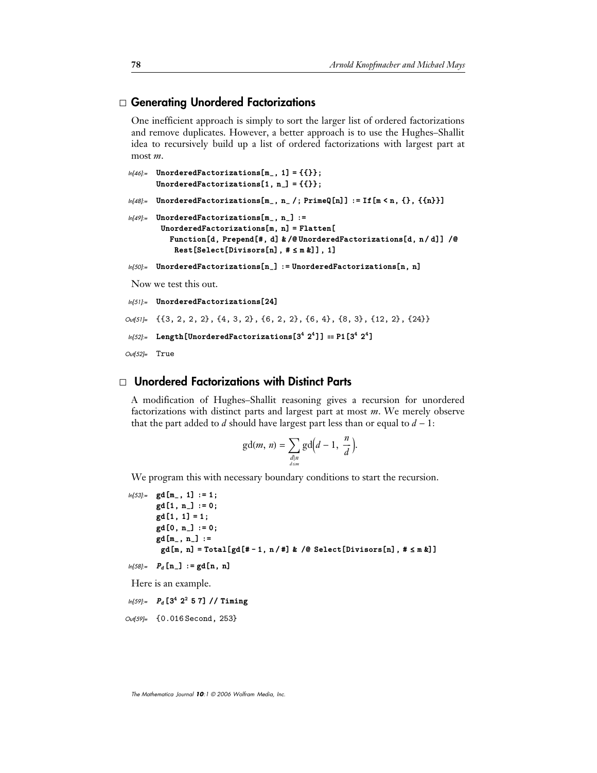#### · **Generating Unordered Factorizations**

One inefficient approach is simply to sort the larger list of ordered factorizations and remove duplicates. However, a better approach is to use the Hughes–Shallit idea to recursively build up a list of ordered factorizations with largest part at most *m*.

```
ln[46] = UnorderedFactorizations [m_-, 1] = {\{\{\}\}};
        UnorderedFactorizations[1, n<sub>-</sub>] = {{}};
ln[48] = UnorderedFactorizations[m_, n_ /; PrimeQ[n]] := If[m < n, {}, {{n}}]
ln[49]:= UnorderedFactorizations[m_-, n_+] :=
         \texttt{UnorderedFactorizations[m, n]} = \texttt{Flatten[}Function [d, Prepend [#, d] & /@ UnorderedFactorizations [d, n / d]] /@
             \texttt{Rest[Select[Divisors[n], # \leq m & 1], 1]}ln[50]:= UnorderedFactorizations[n_] := UnorderedFactorizations[n, n]
 Now we test this out.
In(51]:= UnorderedFactorizations<sup>[24]</sup>
Out[51]= {{3, 2, 2, 2}, {4, 3, 2}, {6, 2, 2}, {6, 4}, {8, 3}, {12, 2}, {24}}
```

```
ln[52] = Length [UnorderedFactorizations [3^4 \ 2^4]] = P1[3^4 \ 2^4]
```
Out[52]= True

#### · **Unordered Factorizations with Distinct Parts**

A modification of Hughes–Shallit reasoning gives a recursion for unordered factorizations with distinct parts and largest part at most *m*. We merely observe that the part added to *d* should have largest part less than or equal to  $d - 1$ :

$$
\gcd(m, n) = \sum_{\substack{d \mid n \\ d \leq m}} \gcd\left(d-1, \frac{n}{d}\right).
$$

We program this with necessary boundary conditions to start the recursion.

```
ln[53]:gd \begin{bmatrix} m_{-} \\ 1 \end{bmatrix} := 1;
         gd1, n_-
 :-
 0;
         gd[1, 1] = 1;
         gd0, n_-
 :-
 0;
         gd [m<sub>-</sub>, n<sub>-</sub>] :=
           gd[m, n] = Total[gd[#-1, n/#] & /@ Select[Divisors[n], # ≤ m &]]
```

```
ln[58] := P_d[n_1] := gd[n, n]
```
Here is an example.

```
ln[59] = P_d [3^4 2^2 5 7] // Timing
```

```
Out[59]= {0.016 Second, 253}
```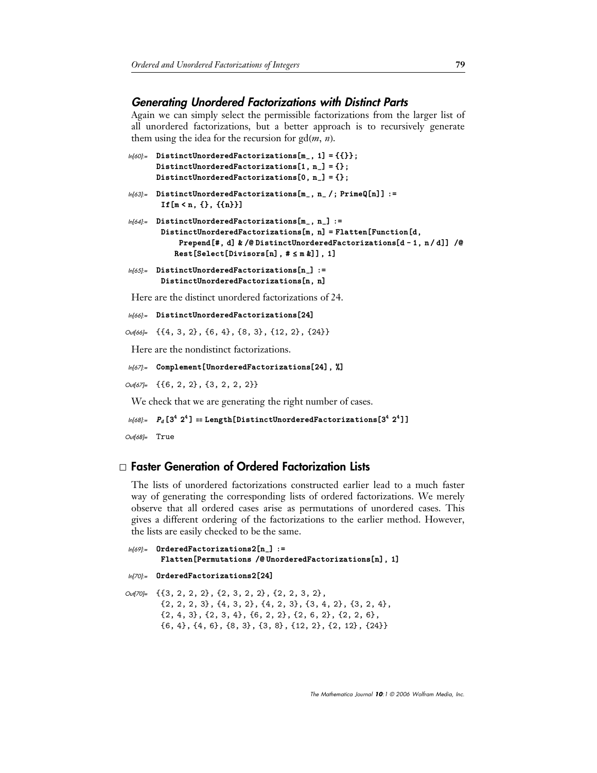#### *Generating Unordered Factorizations with Distinct Parts*

Again we can simply select the permissible factorizations from the larger list of all unordered factorizations, but a better approach is to recursively generate them using the idea for the recursion for  $gd(m, n)$ .

```
ln[60]:= DistinctUnorderedFactorizations[m<sub>-</sub>, 1] = {{}};
        DistinctUnorderedFactorizations[1, n<sub>-</sub>] = {};
        DistinctUnorderedFactorizations[0, n<sub>-</sub>] = {};
```

```
ln[63]:= DistinctUnorderedFactorizations[m_, n_ /; PrimeQ[n]] :=
        If[m < n, {}, {{n}}]
```

```
ln[64]:= DistinctUnorderedFactorizations[m<sub>-</sub>, n<sub>-</sub>] :=
          \texttt{DistinctUnorderedFactorizations[m, n]} = \texttt{Flatten[Function[d, n]}Prepend[#, d] & /@DistinctUnorderedFactorizations[d-1, n/d]] /@
              \mathtt{Rest}[\mathtt{Select}[\mathtt{Divisors[n],\# \leq m \&]]}, \mathtt{1}]
```
 $ln[65]$ := DistinctUnorderedFactorizations[n\_] :=  $DistinctUnorderedFactorizations[n, n]$ 

Here are the distinct unordered factorizations of 24.

```
In[66]:= DistinctUnorderedFactorizations<sup>[24]</sup>
```

```
Out[66]= {{4, 3, 2}, {6, 4}, {8, 3}, {12, 2}, {24}}
```
Here are the nondistinct factorizations.

```
ln[67]:= Complement [UnorderedFactorizations [24], %]
```
Out[67]= {{6, 2, 2}, {3, 2, 2, 2}}

We check that we are generating the right number of cases.

```
ln[68] = P_d [3^4 2^4] =Length[DistinctUnorderedFactorizations[3<sup>4</sup> 2<sup>4</sup>]]
```
Out[68]= True

## · **Faster Generation of Ordered Factorization Lists**

The lists of unordered factorizations constructed earlier lead to a much faster way of generating the corresponding lists of ordered factorizations. We merely observe that all ordered cases arise as permutations of unordered cases. This gives a different ordering of the factorizations to the earlier method. However, the lists are easily checked to be the same.

```
ln[69]:= OrderedFactorizations2[n_] :=
         Flatten [Permutations /@UnorderedFactorizations[n], 1]
In[70]:= OrderedFactorizations2<sup>[24]</sup>
Out[70]= {{3, 2, 2, 2}, {2, 3, 2, 2}, {2, 2, 3, 2},
         \{2, 2, 2, 3\}, \{4, 3, 2\}, \{4, 2, 3\}, \{3, 4, 2\}, \{3, 2, 4\},
```
 $\{2, 4, 3\}, \{2, 3, 4\}, \{6, 2, 2\}, \{2, 6, 2\}, \{2, 2, 6\},$  $\{6, 4\}, \{4, 6\}, \{8, 3\}, \{3, 8\}, \{12, 2\}, \{2, 12\}, \{24\}\}\$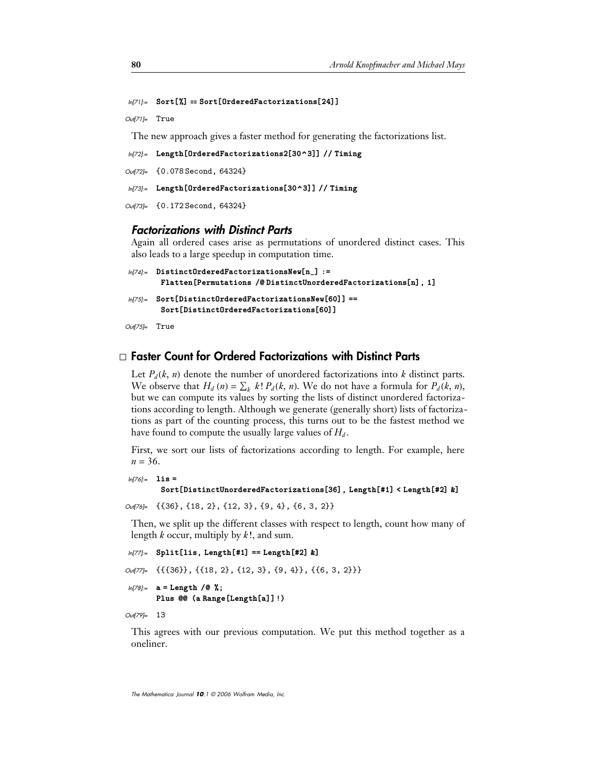#### $ln[71]$ := Sort[%] == Sort[OrderedFactorizations[24]]

 $Out[7] = True$ 

The new approach gives a faster method for generating the factorizations list.

```
ln[72]:= Length[OrderedFactorizations2[30^3]] // Timing
```

```
Out[72]= {0.078 Second, 64324}
```

```
ln[73]:= Length[OrderedFactorizations[30^3]] // Timing
```

```
Out[73]= {0.172 Second, 64324}
```
#### *Factorizations with Distinct Parts*

Again all ordered cases arise as permutations of unordered distinct cases. This also leads to a large speedup in computation time.

```
ln[74]:= DistinctOrderedFactorizationsNew[n_] :=
        Flatten [Permutations /@DistinctUnorderedFactorizations[n], 1]
 ln[75]:= Sort[DistinctOrderedFactorizationsNew[60]] ==
        Sort[{{DistinctOrderedFactorizations[60]}}]Out[75]= True
```
#### · **Faster Count for Ordered Factorizations with Distinct Parts**

Let  $P_d(k, n)$  denote the number of unordered factorizations into *k* distinct parts. We observe that  $H_d$  (n) =  $\sum_k k! P_d(k, n)$ . We do not have a formula for  $P_d(k, n)$ , but we can compute its values by sorting the lists of distinct unordered factorizations according to length. Although we generate (generally short) lists of factorizations as part of the counting process, this turns out to be the fastest method we have found to compute the usually large values of  $H_d$ .

First, we sort our lists of factorizations according to length. For example, here  $n = 36$ .

```
In[76]:= lis -
        \texttt{Sort[DistinctUncrderedFactorizations[36]}, Length[#1] < Length[#2] &]
```

```
Out[76]= {{36}, {18, 2}, {12, 3}, {9, 4}, {6, 3, 2}}
```
Then, we split up the different classes with respect to length, count how many of length *k* occur, multiply by *k*!, and sum.

```
ln[77]:= Split[lis, Length[#1] == Length[#2] &<sup>1</sup>
```
Out[77]= {{{36}}, {{18, 2}, {12, 3}, {9, 4}}, {{6, 3, 2}}}

```
In[78]:= a = Length /@ %;
       Plus @@ (a Range [Length [a] ]!)
```
Out[79]= 13

This agrees with our previous computation. We put this method together as a oneliner.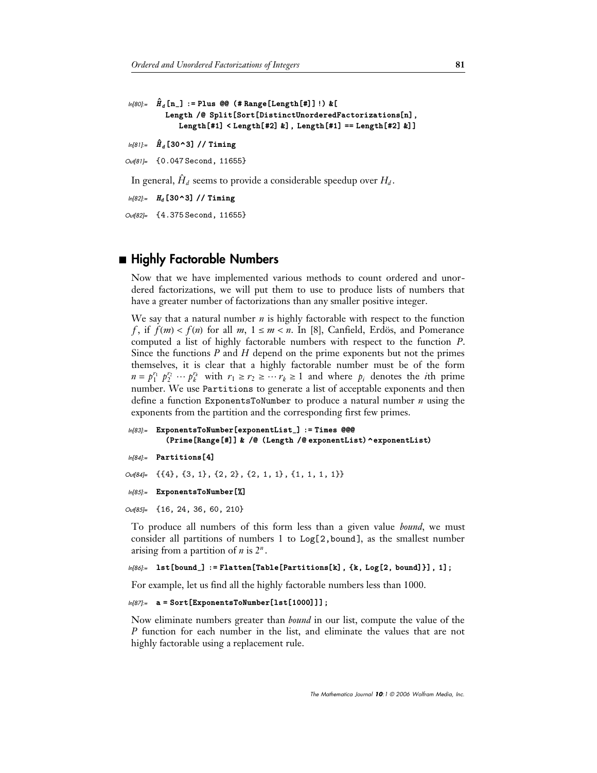```
ln[80] := \hat{H}_d [n_] := Plus @@ (# Range [Length [#]]!) & [
           Length /@ Split[Sort[DistinctUnorderedFactorizations[n],
               \texttt{Length[#1]} < \texttt{Length[#2]} &], \texttt{Length[#1]} == \texttt{Length[#2]} &]
```

```
In[81]:= H
`
d 30^3-
  Timing
```

```
Out[81]= {0.047 Second, 11655}
```
In general, *H*  $\overline{a}$  $d$  seems to provide a considerable speedup over  $H_d$ .

```
In[82]:= H_d [30^3] // Timing
```
Out[82]= {4.375 Second, 11655}

## ■ Highly Factorable Numbers

Now that we have implemented various methods to count ordered and unordered factorizations, we will put them to use to produce lists of numbers that have a greater number of factorizations than any smaller positive integer.

We say that a natural number *n* is highly factorable with respect to the function *f*, if  $f(m) < f(n)$  for all *m*,  $1 \le m < n$ . In [8], Canfield, Erdös, and Pomerance computed a list of highly factorable numbers with respect to the function *P*. Since the functions *P* and *H* depend on the prime exponents but not the primes themselves, it is clear that a highly factorable number must be of the form  $n = p_1^{r_1} p_2^{r_2} \cdots p_k^{r_k}$  with  $r_1 \ge r_2 \ge \cdots r_k \ge 1$  and where  $p_i$  denotes the *i*th prime number. We use Partitions to generate a list of acceptable exponents and then define a function ExponentsToNumber to produce a natural number *n* using the exponents from the partition and the corresponding first few primes.

```
ln[83]:= ExponentsToNumber[exponentList_] := Times @@@
        (Prime[Range[#]] & /@ (Length /@ exponentList) ^exponentList)
```

```
In[84]:= Partitions [4]
```

```
Out[84]= {{4}, {3, 1}, {2, 2}, {2, 1, 1}, {1, 1, 1, 1}}
```

```
ln[85] = ExponentsToNumber [%]
```
Out[85]= {16, 24, 36, 60, 210}

To produce all numbers of this form less than a given value *bound*, we must consider all partitions of numbers 1 to Log[2,bound], as the smallest number arising from a partition of *n* is 2*<sup>n</sup>* .

```
ln[86] = lst[bound_] := Flatten[Table[Partitions[k], {k, Log[2, bound]}], 1];
```
For example, let us find all the highly factorable numbers less than 1000.

```
ln[87] = a = Sort [ExponentsToNumber [1st [1000]]];
```
Now eliminate numbers greater than *bound* in our list, compute the value of the *P* function for each number in the list, and eliminate the values that are not highly factorable using a replacement rule.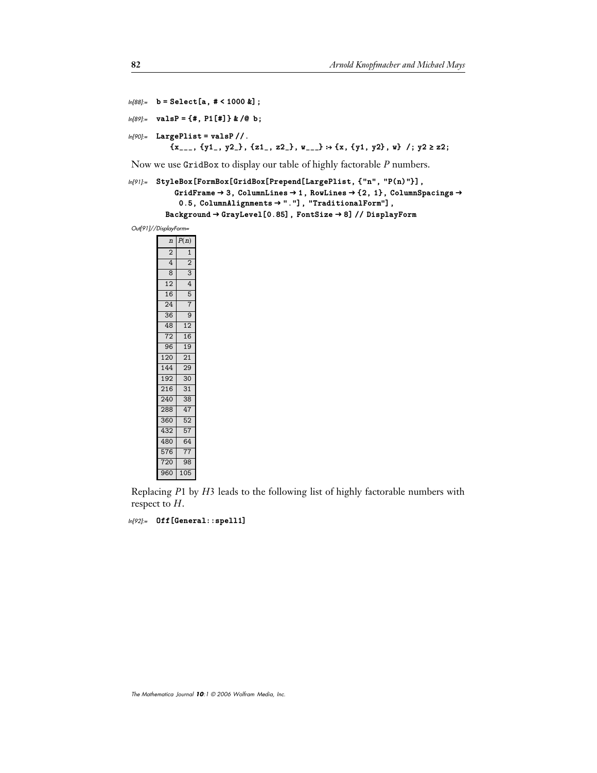```
In[88]:= b = Select[a, # < 1000 &];
ln[89] = valsP = {#, P1[#]} & /@ b;
ln[90]:= LargePlist = valsP //.
            \{x_{---}, \{y1_-, y2_-\}, \{z1_-, z2_-\}, w_{---}\} \rightarrow \{x, \{y1, y2\}, w\} /; y2 \geq z2;
```
Now we use GridBox to display our table of highly factorable *P* numbers.

```
ln[91]= StyleBox[FormBox[GridBox[Prepend[LargePlist, {"n", "P(n)"}],
           GridFrame \rightarrow 3, ColumnLines \rightarrow 1, RowLines \rightarrow {2, 1}, ColumnSpacings \rightarrow0.5, ColumnAlignments → "."], "TraditionalForm"],
          Background 
 GrayLevel0.85-
, FontSize 
 8-
  DisplayForm
```
Out[91]//DisplayForm=

| $\overline{n}$  | P(n)            |
|-----------------|-----------------|
| $\overline{2}$  | $\mathbf{1}$    |
| 4               | $\overline{2}$  |
| 8               | 3               |
| 12              | 4               |
| 16              | 5               |
| 24              | 7               |
| $\overline{36}$ | $\overline{9}$  |
| 48              | 12              |
| 72              | 16              |
| 96              | 19              |
| 120             | 21              |
| 144             | $\overline{29}$ |
| $\frac{1}{192}$ | 30              |
| 216             | $\overline{31}$ |
| 240             | $\overline{38}$ |
| 288             | 47              |
| 360             | $\overline{52}$ |
| 432             | 57              |
| 480             | 64              |
| 576             | 77              |
| 720             | 98              |
| 960             | 105             |

Replacing *P*1 by *H*3 leads to the following list of highly factorable numbers with respect to *H*.

```
In[92]:= Off[General::spell1]
```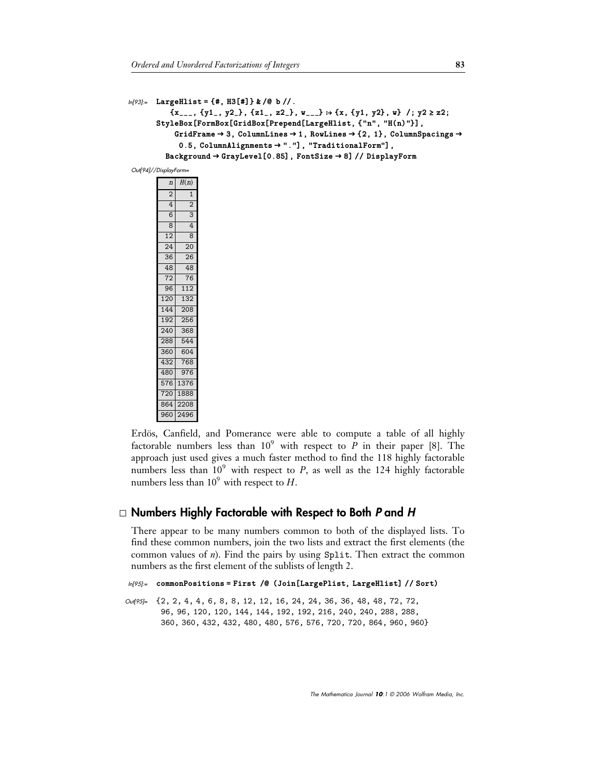```
ln[93] = LargeHlist = {#, H3[#]} & /@ b //.
           \{x_{---}, \{y1_-, y2_-\}, \{z1_-, z2_-\}, w_{---}\} \rightarrow \{x, \{y1, y2\}, w\} /; y2 \geq z2;
        StyleBox[FormBox[GridBox[Prepend[LargeHlist, {"n", "H(n)"}],
            GridFrame \rightarrow 3, ColumnLines \rightarrow 1, RowLines \rightarrow {2, 1}, ColumnSpacings \rightarrow0.5, ColumnAlignments → "."], "TraditionalForm"],
          Background 
 GrayLevel0.85-
, FontSize 
 8-
  DisplayForm
```
Out[94]//DisplayForm=

| $\overline{n}$ | H(n)                    |
|----------------|-------------------------|
| $\overline{2}$ | 1                       |
| 4              | 2                       |
| $\overline{6}$ | $\overline{\mathbf{3}}$ |
| 8              | 4                       |
| 12             | 8                       |
| 24             | 20                      |
| 36             | 26                      |
| 48             | 48                      |
| 72             | 76                      |
| 96             | 112                     |
| 120            | 132                     |
| 144            | 208                     |
| 192            | 256                     |
| 240            | 368                     |
| 288            | 544                     |
| 360            | 604                     |
| 432            | 768                     |
| 480            | 976                     |
| 576            | 1376                    |
| 720            | 1888                    |
| 864            | 2208                    |
| 960            | 2496                    |

Erdös, Canfield, and Pomerance were able to compute a table of all highly factorable numbers less than  $10^9$  with respect to *P* in their paper [8]. The approach just used gives a much faster method to find the 118 highly factorable numbers less than  $10^9$  with respect to *P*, as well as the 124 highly factorable numbers less than  $10^9$  with respect to *H*.

## · **Numbers Highly Factorable with Respect to Both** *P* **and** *H*

There appear to be many numbers common to both of the displayed lists. To find these common numbers, join the two lists and extract the first elements (the common values of *n*). Find the pairs by using Split. Then extract the common numbers as the first element of the sublists of length 2.

```
ln[95]:= commonPositions=First /@ (Join[LargePlist, LargeHlist] // Sort)
```

```
Out[95]= {2, 2, 4, 4, 6, 8, 8, 12, 12, 16, 24, 24, 36, 36, 48, 48, 72, 72,
         96, 96, 120, 120, 144, 144, 192, 192, 216, 240, 240, 288, 288,
         360, 360, 432, 432, 480, 480, 576, 576, 720, 720, 864, 960, 960-
```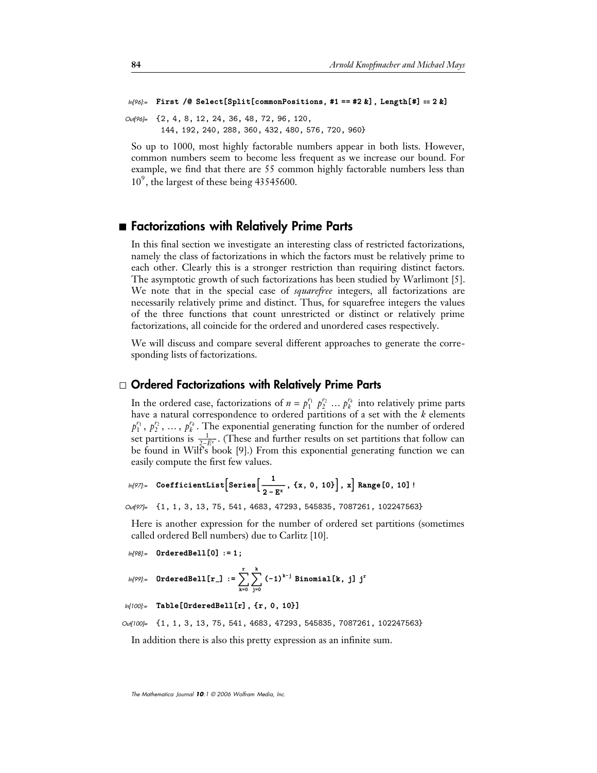```
ln[96] = First /@ Select[Split[commonPositions, #1 == #2 &], Length[#] == 2 &]
```
Out[96]= {2, 4, 8, 12, 24, 36, 48, 72, 96, 120, 144, 192, 240, 288, 360, 432, 480, 576, 720, 960-

So up to 1000, most highly factorable numbers appear in both lists. However, common numbers seem to become less frequent as we increase our bound. For example, we find that there are 55 common highly factorable numbers less than  $10<sup>9</sup>$ , the largest of these being 43545600.

#### ■ Factorizations with Relatively Prime Parts

In this final section we investigate an interesting class of restricted factorizations, namely the class of factorizations in which the factors must be relatively prime to each other. Clearly this is a stronger restriction than requiring distinct factors. The asymptotic growth of such factorizations has been studied by Warlimont [5]. We note that in the special case of *squarefree* integers, all factorizations are necessarily relatively prime and distinct. Thus, for squarefree integers the values of the three functions that count unrestricted or distinct or relatively prime factorizations, all coincide for the ordered and unordered cases respectively.

We will discuss and compare several different approaches to generate the corresponding lists of factorizations.

#### · **Ordered Factorizations with Relatively Prime Parts**

In the ordered case, factorizations of  $n = p_1^{r_1} p_2^{r_2} \dots p_k^{r_k}$  into relatively prime parts have a natural correspondence to ordered partitions of a set with the *k* elements  $p_1^{r_1}$ ,  $p_2^{r_2}$ , ...,  $p_k^{r_k}$ . The exponential generating function for the number of ordered set partitions is  $\frac{1}{2-E^x}$ . (These and further results on set partitions that follow can be found in Wilf's book [9].) From this exponential generating function we can easily compute the first few values.

$$
ln[97] = CoefficientList[Series\left[\frac{1}{2 - E^{x}}, \{x, 0, 10\}\right], x] Range[0, 10]!
$$

```
Out[97]= {1, 1, 3, 13, 75, 541, 4683, 47293, 545835, 7087261, 102247563}
```
Here is another expression for the number of ordered set partitions (sometimes called ordered Bell numbers) due to Carlitz [10].

```
ln[98] = OrderedBell[0] := 1;
```

```
ln[99] = OrderedBell[r_+] := \sumk-
0
                                                                    \stackrel{\tt r}{\searrow} \stackrel{\tt k}{\searrow}j-
0
                                                                            k<br>
<sup>}</sup> (-1)<sup>k-j</sup> Binomial[k, j] j<sup>r</sup>
```

```
ln[100]:= Table [OrderedBell [r], {r, 0, 10}]
```

```
Out[100]= {1, 1, 3, 13, 75, 541, 4683, 47293, 545835, 7087261, 102247563}
```
In addition there is also this pretty expression as an infinite sum.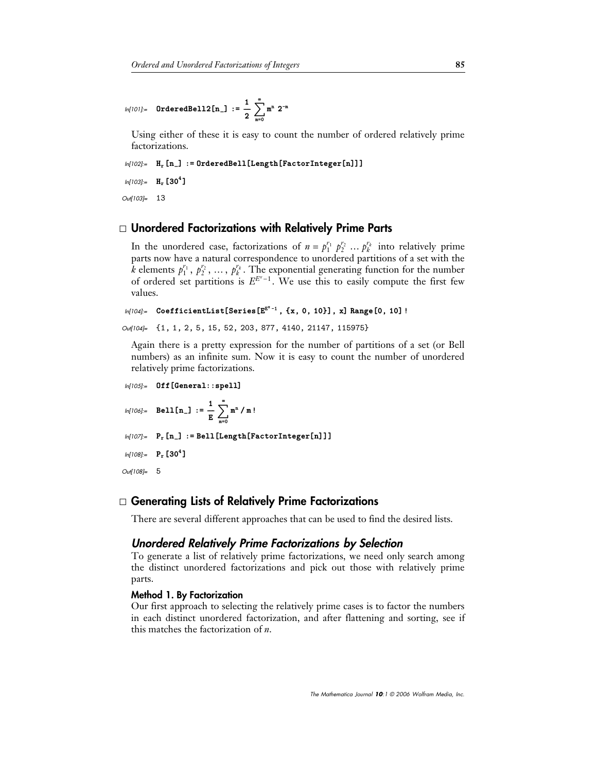#### In[101]:= **OrderedBell2[n\_] :=**  $\frac{1}{2}$  $\sum_{m=0}^{\infty}$ 0  $\sum_{m=1}^{\infty}$  m<sup>n</sup> 2<sup>-m</sup>

Using either of these it is easy to count the number of ordered relatively prime factorizations.

```
ln[102]:= H_r[n_] := 0rderedBell [Length [FactorInteger[n]]]
 ln[103] = H<sub>r</sub> [30<sup>4</sup>]
Out[103]= 13
```
## · **Unordered Factorizations with Relatively Prime Parts**

In the unordered case, factorizations of  $n = p_1^{r_1} p_2^{r_2} \dots p_k^{r_k}$  into relatively prime parts now have a natural correspondence to unordered partitions of a set with the *k* elements  $p_1^{r_1}, p_2^{r_2}, \ldots, p_k^{r_k}$ . The exponential generating function for the number of ordered set partitions is  $E^{E^x-1}$ . We use this to easily compute the first few values.

```
In[104]:= CoefficientList[Series[E^{E^{x}-1}, {x, 0, 10}], x] Range[0, 10]!
```

```
Out[104]= {1, 1, 2, 5, 15, 52, 203, 877, 4140, 21147, 115975}
```
Again there is a pretty expression for the number of partitions of a set (or Bell numbers) as an infinite sum. Now it is easy to count the number of unordered relatively prime factorizations.

```
In [105] = Off [General::spell]
```

$$
\text{In}[106] := \quad \text{Bell}\left[n_{-}\right] \; := \; \frac{1}{E} \; \sum_{m=0}^{\infty} m^{n} \; / \; m \; !
$$

 $ln[107] =$   $P_r[n_] := Bell[Length[FactorInteger[n]]]$ 

```
ln[108] = P_r [30^4]
```
Out[108]= 5

## · **Generating Lists of Relatively Prime Factorizations**

There are several different approaches that can be used to find the desired lists.

## *Unordered Relatively Prime Factorizations by Selection*

To generate a list of relatively prime factorizations, we need only search among the distinct unordered factorizations and pick out those with relatively prime parts.

#### **Method 1. By Factorization**

Our first approach to selecting the relatively prime cases is to factor the numbers in each distinct unordered factorization, and after flattening and sorting, see if this matches the factorization of *n*.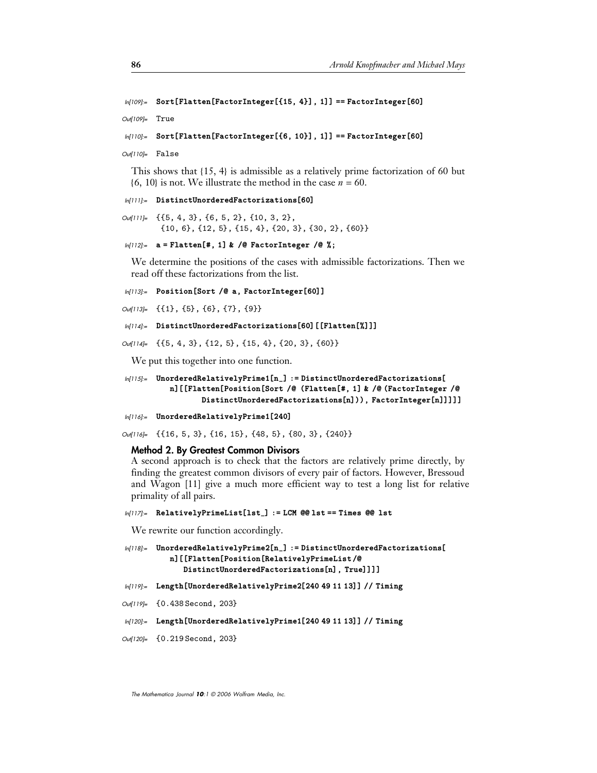```
ln[109] = Sort [Flatten [FactorInteger [{15, 4}], 1]] == FactorInteger [60]
```
Out[109]= True

```
ln[110] = Sort [Flatten [FactorInteger [{6, 10}], 1]] == FactorInteger [60]
```
 $Out[110]=$   $False$ 

This shows that  $\{15, 4\}$  is admissible as a relatively prime factorization of 60 but  ${66, 10}$  is not. We illustrate the method in the case  $n = 60$ .

```
In [1111]= DistinctUnorderedFactorizations[60]
```
Out[111]= {{5, 4, 3}, {6, 5, 2}, {10, 3, 2},  $\{10, 6\}, \{12, 5\}, \{15, 4\}, \{20, 3\}, \{30, 2\}, \{60\}\}\$ 

```
In[112]:= a = Flatten [#, 1] & /@ FactorInteger /@ %;
```
We determine the positions of the cases with admissible factorizations. Then we read off these factorizations from the list.

```
In[113]:= Position [Sort /@ a, FactorInteger[60]]
```

```
Out[113]= {{1}, {5}, {6}, {7}, {9}}
```

```
ln[114] = DistinctUnorderedFactorizations[60] [[Flatten[%]]]
```

```
Out[114]= {{5, 4, 3}, {12, 5}, {15, 4}, {20, 3}, {60}}
```
We put this together into one function.

```
ln[115] = UnorderedRelativelyPrime1[n_ : = DistinctUnorderedFactorizations
           n][[Flatten[Position[Sort /@ (Flatten[#, 1]                    & /@ (FactorInteger /@
                    \text{DistinctUnorderedFactorizations[n]})), \text{FactorInteger[n]]]]
```

```
In[116]:= UnorderedRelativelyPrime1[240]
```

```
Out[16]= {{16, 5, 3}, {16, 15}, {48, 5}, {80, 3}, {240}}
```
#### **Method 2. By Greatest Common Divisors**

A second approach is to check that the factors are relatively prime directly, by finding the greatest common divisors of every pair of factors. However, Bressoud and Wagon [11] give a much more efficient way to test a long list for relative primality of all pairs.

#### $ln[117]$ := RelativelyPrimeList[lst\_] := LCM @@ lst == Times @@ lst

We rewrite our function accordingly.

```
ln[118]= UnorderedRelativelyPrime2[n_] := DistinctUnorderedFactorizations[
          n][[Flatten[Position[RelativelyPrimeList/@
             DistinctUnorderedFactorizations[n], True]]]]
```
- $ln[119]$ := Length [UnorderedRelativelyPrime2<sup>[240 49 11 13]] // Timing</sup>
- Out[119]= {0.438 Second, 203}
- $ln[120]$ := Length[UnorderedRelativelyPrime1[240 49 11 13]] // Timing
- Out[120]= {0.219 Second, 203}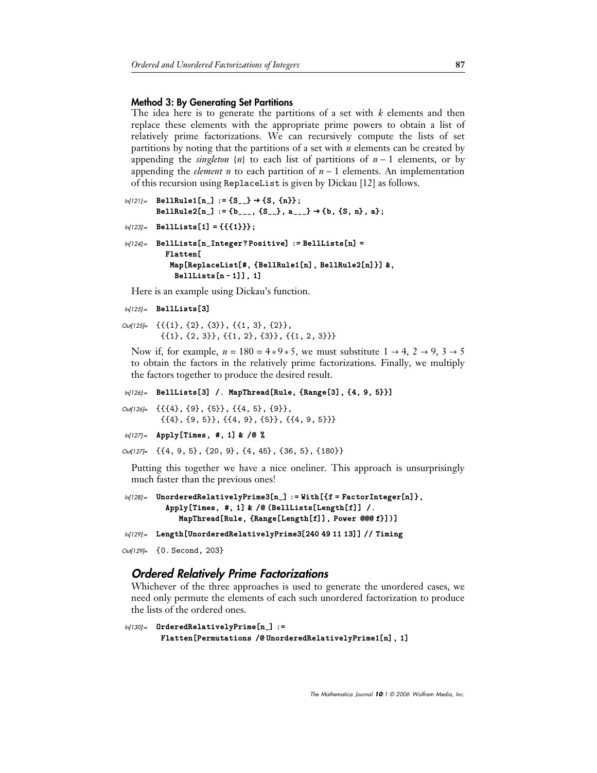#### **Method 3: By Generating Set Partitions**

The idea here is to generate the partitions of a set with *k* elements and then replace these elements with the appropriate prime powers to obtain a list of relatively prime factorizations. We can recursively compute the lists of set partitions by noting that the partitions of a set with *n* elements can be created by appending the *singleton*  $\{n\}$  to each list of partitions of  $n - 1$  elements, or by appending the *element n* to each partition of  $n - 1$  elements. An implementation of this recursion using ReplaceList is given by Dickau [12] as follows.

```
ln[121]:= BellRule1[n_] := {S__} \rightarrow {S, {n}};
         BelIRule2[n_. := {b_{---}, {S_{--}}}, a_{---} \rightarrow {b, {S, n}, a};ln[123] = BellLists[1] = {{{1}}};
```

```
ln[124]:- BellLists[n_Integer?Positive] := BellLists[n] =
           Flatten
            Map[ReplaceList[#, {BellRule1[n], BellRule2[n]}]                                 &,
              BellLists[n-1]], 1]
```
Here is an example using Dickau's function.

```
In[125]: BellLists[3]
```

```
Out[125]= {{{1}, {2}, {3}}, {{1, 3}, {2}},
           \{\{1\}, \{2, 3\}\}, \{\{1, 2\}, \{3\}\}, \{\{1, 2, 3\}\}\}\
```
Now if, for example,  $n = 180 = 4*9*5$ , we must substitute  $1 \rightarrow 4$ ,  $2 \rightarrow 9$ ,  $3 \rightarrow 5$ to obtain the factors in the relatively prime factorizations. Finally, we multiply the factors together to produce the desired result.

```
ln[126]:= BellLists[3] / MapThread[Rule, {Range[3], {4, 9, 5}}]
```
Out[126]= {{{4}, {9}, {5}}, {{4, 5}, {9}},  $\{\{4\}, \{9, 5\}\}, \{\{4, 9\}, \{5\}\}, \{\{4, 9, 5\}\}\}\$ 

```
In[127]:= Apply[Times, #, 1] & /@ %
```

```
Out[127]= {{4, 9, 5}, {20, 9}, {4, 45}, {36, 5}, {180}}
```
Putting this together we have a nice oneliner. This approach is unsurprisingly much faster than the previous ones!

```
ln[128]:= UnorderedRelativelyPrime3[n_] := With [{f = FactorInteger[n]},
         ApplyTimes, #, 1-
 &  BellListsLengthf-
-
 .
            MapThread[Rule, {Range[Length[f]], Power @@@f}])]
```
 $ln[129]$ := Length [UnorderedRelativelyPrime3<sup>[240 49 11 13]] // Timing</sup>

```
Out[129]= {0. Second, 203}
```
## *Ordered Relatively Prime Factorizations*

Whichever of the three approaches is used to generate the unordered cases, we need only permute the elements of each such unordered factorization to produce the lists of the ordered ones.

```
ln[130]:= OrderedRelativelyPrime[n_] :=
        Flatten [Permutations /@ UnorderedRelativelyPrime1[n], 1]
```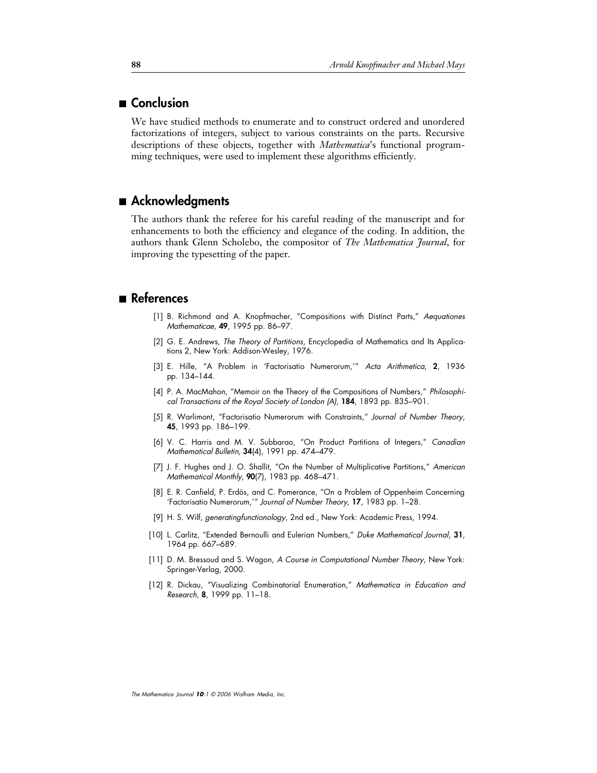## ■ **Conclusion**

We have studied methods to enumerate and to construct ordered and unordered factorizations of integers, subject to various constraints on the parts. Recursive descriptions of these objects, together with *Mathematica*'s functional programming techniques, were used to implement these algorithms efficiently.

## ■ Acknowledgments

The authors thank the referee for his careful reading of the manuscript and for enhancements to both the efficiency and elegance of the coding. In addition, the authors thank Glenn Scholebo, the compositor of *The Mathematica Journal*, for improving the typesetting of the paper.

## ■ References

- [1] B. Richmond and A. Knopfmacher, "Compositions with Distinct Parts," Aequationes Mathematicae, **49**, 1995 pp. 86–97.
- [2] G. E. Andrews, The Theory of Partitions, Encyclopedia of Mathematics and Its Applications 2, New York: Addison-Wesley, 1976.
- [3] E. Hille, "A Problem in 'Factorisatio Numerorum,'" Acta Arithmetica, **2**, 1936 pp. 134–144.
- [4] P. A. MacMahon, "Memoir on the Theory of the Compositions of Numbers," Philosophical Transactions of the Royal Society of London (A), **184**, 1893 pp. 835–901.
- [5] R. Warlimont, "Factorisatio Numerorum with Constraints," Journal of Number Theory, **45**, 1993 pp. 186–199.
- [6] V. C. Harris and M. V. Subbarao, "On Product Partitions of Integers," Canadian Mathematical Bulletin, **34**(4), 1991 pp. 474–479.
- [7] J. F. Hughes and J. O. Shallit, "On the Number of Multiplicative Partitions," American Mathematical Monthly, **90**(7), 1983 pp. 468–471.
- [8] E. R. Canfield, P. Erdös, and C. Pomerance, "On a Problem of Oppenheim Concerning 'Factorisatio Numerorum,'" Journal of Number Theory, **17**, 1983 pp. 1–28.
- [9] H. S. Wilf, generatingfunctionology, 2nd ed., New York: Academic Press, 1994.
- [10] L. Carlitz, "Extended Bernoulli and Eulerian Numbers," Duke Mathematical Journal, **31**, 1964 pp. 667–689.
- [11] D. M. Bressoud and S. Wagon, A Course in Computational Number Theory, New York: Springer-Verlag, 2000.
- [12] R. Dickau, "Visualizing Combinatorial Enumeration," Mathematica in Education and Research, **8**, 1999 pp. 11–18.